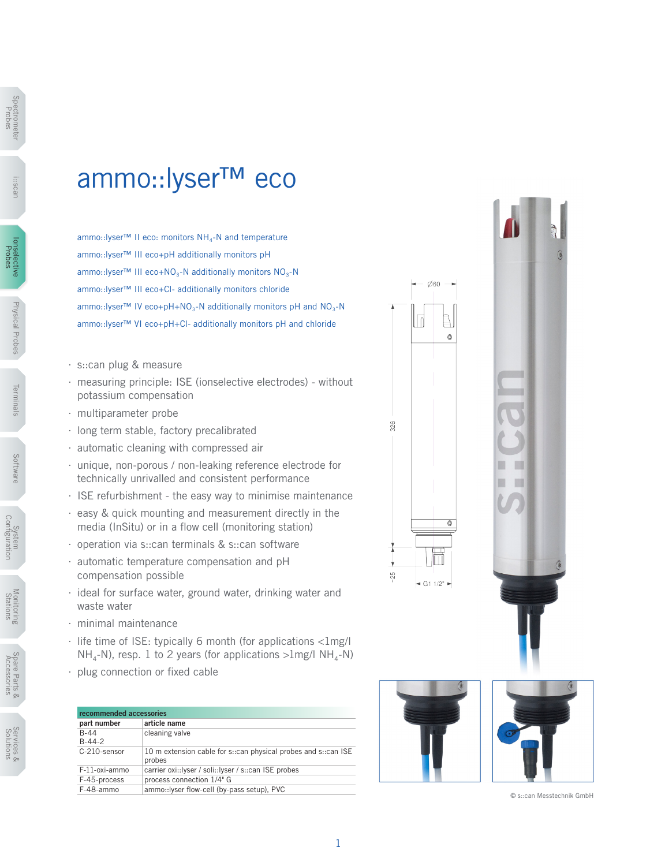## ammo::lyser™ eco

ammo::Iyser™ II eco: monitors NH<sub>4</sub>-N and temperature ammo::lyser™ III eco+pH additionally monitors pH ammo::lyser™ III eco+NO<sub>3</sub>-N additionally monitors  $NO_3-N$ ammo::lyser™ III eco+Cl- additionally monitors chloride ammo::lyser™ IV eco+pH+NO<sub>3</sub>-N additionally monitors pH and NO<sub>3</sub>-N ammo::lyser™ VI eco+pH+Cl- additionally monitors pH and chloride

- ∙ s::can plug & measure
- ∙ measuring principle: ISE (ionselective electrodes) without potassium compensation
- ∙ multiparameter probe
- ∙ long term stable, factory precalibrated
- ∙ automatic cleaning with compressed air
- ∙ unique, non-porous / non-leaking reference electrode for technically unrivalled and consistent performance
- ∙ ISE refurbishment the easy way to minimise maintenance
- ∙ easy & quick mounting and measurement directly in the media (InSitu) or in a flow cell (monitoring station)
- ∙ operation via s::can terminals & s::can software
- ∙ automatic temperature compensation and pH compensation possible
- ∙ ideal for surface water, ground water, drinking water and waste water
- ∙ minimal maintenance
- ∙ life time of ISE: typically 6 month (for applications <1mg/l  $NH<sub>a</sub>-N$ , resp. 1 to 2 years (for applications  $>1$ mg/l  $NH<sub>a</sub>-N$ )
- ∙ plug connection or fixed cable

| recommended accessories |                                                                          |  |  |  |  |  |  |
|-------------------------|--------------------------------------------------------------------------|--|--|--|--|--|--|
| part number             | article name                                                             |  |  |  |  |  |  |
| $B-44$<br>$B-44-2$      | cleaning valve                                                           |  |  |  |  |  |  |
| C-210-sensor            | 10 m extension cable for s::can physical probes and s::can ISE<br>probes |  |  |  |  |  |  |
| F-11-oxi-ammo           | carrier oxi::lyser / soli::lyser / s::can ISE probes                     |  |  |  |  |  |  |
| F-45-process            | process connection 1/4" G                                                |  |  |  |  |  |  |
| F-48-ammo               | ammo::lyser flow-cell (by-pass setup), PVC                               |  |  |  |  |  |  |



© s::can Messtechnik GmbH



Spectrometer Spectrome<br>Probes

i::scan

Ionselective Probes Probes

Physical Probes

Physical Probes

Terminals

lerminals

Software

Sottware

System<br>Configuration Configuration